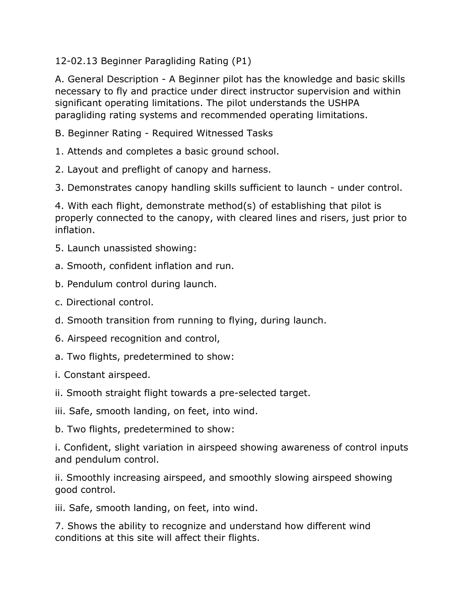12-02.13 Beginner Paragliding Rating (P1)

A. General Description - A Beginner pilot has the knowledge and basic skills necessary to fly and practice under direct instructor supervision and within significant operating limitations. The pilot understands the USHPA paragliding rating systems and recommended operating limitations.

- B. Beginner Rating Required Witnessed Tasks
- 1. Attends and completes a basic ground school.
- 2. Layout and preflight of canopy and harness.
- 3. Demonstrates canopy handling skills sufficient to launch under control.

4. With each flight, demonstrate method(s) of establishing that pilot is properly connected to the canopy, with cleared lines and risers, just prior to inflation.

- 5. Launch unassisted showing:
- a. Smooth, confident inflation and run.
- b. Pendulum control during launch.
- c. Directional control.
- d. Smooth transition from running to flying, during launch.
- 6. Airspeed recognition and control,
- a. Two flights, predetermined to show:
- i. Constant airspeed.
- ii. Smooth straight flight towards a pre-selected target.
- iii. Safe, smooth landing, on feet, into wind.
- b. Two flights, predetermined to show:

i. Confident, slight variation in airspeed showing awareness of control inputs and pendulum control.

ii. Smoothly increasing airspeed, and smoothly slowing airspeed showing good control.

iii. Safe, smooth landing, on feet, into wind.

7. Shows the ability to recognize and understand how different wind conditions at this site will affect their flights.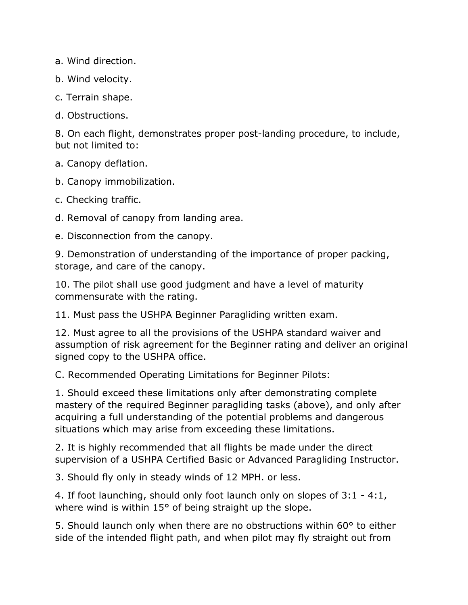a. Wind direction.

b. Wind velocity.

c. Terrain shape.

d. Obstructions.

8. On each flight, demonstrates proper post-landing procedure, to include, but not limited to:

a. Canopy deflation.

b. Canopy immobilization.

c. Checking traffic.

d. Removal of canopy from landing area.

e. Disconnection from the canopy.

9. Demonstration of understanding of the importance of proper packing, storage, and care of the canopy.

10. The pilot shall use good judgment and have a level of maturity commensurate with the rating.

11. Must pass the USHPA Beginner Paragliding written exam.

12. Must agree to all the provisions of the USHPA standard waiver and assumption of risk agreement for the Beginner rating and deliver an original signed copy to the USHPA office.

C. Recommended Operating Limitations for Beginner Pilots:

1. Should exceed these limitations only after demonstrating complete mastery of the required Beginner paragliding tasks (above), and only after acquiring a full understanding of the potential problems and dangerous situations which may arise from exceeding these limitations.

2. It is highly recommended that all flights be made under the direct supervision of a USHPA Certified Basic or Advanced Paragliding Instructor.

3. Should fly only in steady winds of 12 MPH. or less.

4. If foot launching, should only foot launch only on slopes of 3:1 - 4:1, where wind is within 15° of being straight up the slope.

5. Should launch only when there are no obstructions within 60° to either side of the intended flight path, and when pilot may fly straight out from